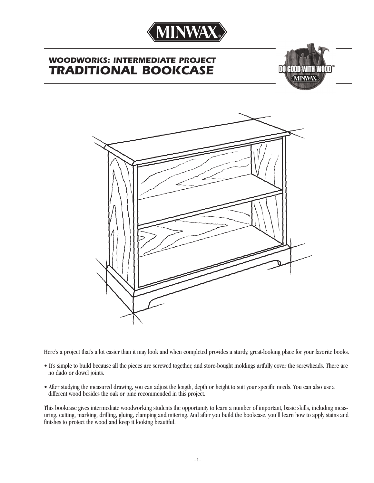

# *WOODWORKS: INTERMEDIATE PROJECT TRADITIONAL BOOKCASE*





Here's a project that's a lot easier than it may look and when completed provides a sturdy, great-looking place for your favorite books.

- It's simple to build because all the pieces are screwed together, and store-bought moldings artfully cover the screwheads. There are no dado or dowel joints.
- After studying the measured drawing, you can adjust the length, depth or height to suit your specific needs. You can also usea different wood besides the oak or pine recommended in this project.

This bookcase gives intermediate woodworking students the opportunity to learn a number of important, basic skills, including measuring, cutting, marking, drilling, gluing, clamping and mitering. And after you build the bookcase, you'll learn how to apply stains and finishes to protect the wood and keep it looking beautiful.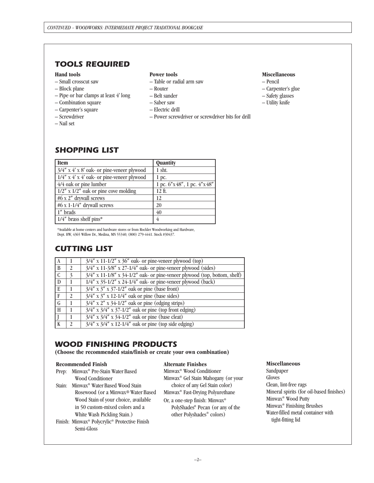# *TOOLS REQUIRED*

# **Hand tools**

- Small crosscut saw
- Block plane
- Pipe or bar clamps at least 4' long
- Combination square
- Carpenter's square
- Screwdriver
- Nail set

# **Power tools**

- Table or radial arm saw
- Router
- Belt sander
- Saber saw
- Electric drill
- Power screwdriver or screwdriver bits for drill

## **Miscellaneous**

- Pencil
- Carpenter's glue
- Safety glasses
- Utility knife

# *SHOPPING LIST*

| <b>Item</b>                                       | Quantity                   |
|---------------------------------------------------|----------------------------|
| $3/4''$ x 4' x 8' oak- or pine-veneer plywood     | 1 sht.                     |
| $1/4''$ x $4'$ x $4'$ oak- or pine-veneer plywood | 1 pc.                      |
| $4/4$ oak or pine lumber                          | 1 pc. 6"x48", 1 pc. 4"x48" |
| $1/2''$ x $1/2''$ oak or pine cove molding        | $12 \text{ ft.}$           |
| #6 x 2" drywall screws                            | 12                         |
| #6 x 1-1/4" drywall screws                        | 20                         |
| 1" brads                                          | 40                         |
| $1/4$ " brass shelf pins*                         | 4                          |

\*Available at home centers and hardware stores or from Rockler Woodworking and Hardware, Dept. HW, 4365 Willow Dr., Medina, MN 55340; (800) 279-4441. Stock #30437.

# *CUTTING LIST*

| l A |               | $3/4$ " x 11-1/2" x 36" oak- or pine-veneer plywood (top)                           |
|-----|---------------|-------------------------------------------------------------------------------------|
| l B | 2             | $3/4$ " x 11-3/8" x 27-1/4" oak- or pine-veneer plywood (sides)                     |
| l C | $\mathcal{E}$ | $3/4''$ x 11-1/8" x 34-1/2" oak- or pine-veneer plywood (top, bottom, shelf)        |
| l D |               | $1/4''$ x 35-1/2" x 24-1/4" oak- or pine-veneer plywood (back)                      |
| I E |               | $\frac{1}{3}{4}$ " x $\frac{3}{3}$ " x $\frac{3}{7}$ -1/2" oak or pine (base front) |
| l F | $\mathcal{L}$ | $\frac{3}{4}$ " x $\frac{3}{3}$ " x 12-1/4" oak or pine (base sides)                |
| l G |               | $3/4''$ x $2''$ x $34-1/2''$ oak or pine (edging strips)                            |
| Iн  |               | $3/4''$ x $3/4''$ x $37-1/2''$ oak or pine (top front edging)                       |
|     |               | $3/4''$ x $3/4''$ x $34-1/2''$ oak or pine (base cleat)                             |
|     | $\mathcal{D}$ | $3/4''$ x $3/4''$ x 12-1/4" oak or pine (top side edging)                           |
|     |               |                                                                                     |

# *WOOD FINISHING PRODUCTS*

**(Choose the recommended stain/finish or create your own combination)**

#### **Recommended Finish**

| Prep:  | Minwax <sup>®</sup> Pre-Stain Water Based                 |
|--------|-----------------------------------------------------------|
|        | <b>Wood Conditioner</b>                                   |
| Stain: | Minwax <sup>®</sup> Water Based Wood Stain                |
|        | Rosewood (or a Minwax® Water Based                        |
|        | Wood Stain of your choice, available                      |
|        | in 50 custom-mixed colors and a                           |
|        | White Wash Pickling Stain.)                               |
|        | Finish: Minwax <sup>®</sup> Polycrylic® Protective Finish |
|        | Semi-Gloss                                                |

### **Alternate Finishes**

Minwax® Wood Conditioner Minwax® Gel Stain Mahogany (or your choice of any Gel Stain color) Minwax® Fast-Drying Polyurethane Or, a one-step finish: Minwax® PolyShades ® Pecan (or any of the

# other Polyshades ® colors)

#### **Miscellaneous**

Sandpaper Gloves Clean, lint-free rags Mineral spirits (for oil-based finishes) Minwax® Wood Putty Minwax® Finishing Brushes Water-filled metal container with tight-fitting lid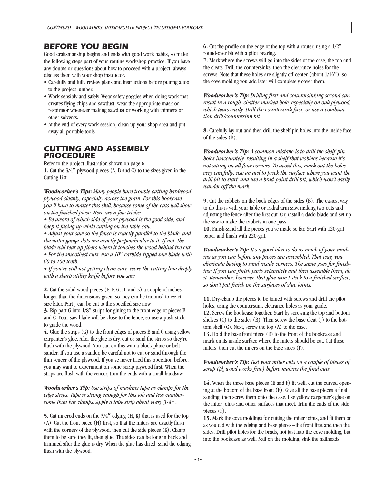# *BEFORE YOU BEGIN*

Good craftsmanship begins and ends with good work habits, so make the following steps part of your routine workshop practice. If you have any doubts or questions about how to proceed with a project, always discuss them with your shop instructor.

- Carefully and fully review plans and instructions before putting a tool to the project lumber.
- Work sensibly and safely. Wear safety goggles when doing work that creates flying chips and sawdust; wear the appropriate mask or respirator whenever making sawdust or working with thinners or other solvents.
- At the end of every work session, clean up your shop area and put away all portable tools.

# *CUTTING AND ASSEMBLY PROCEDURE*

Refer to the project illustration shown on page 6. **1.** Cut the 3/4**"** plywood pieces (A, B and C) to the sizes given in the Cutting List.

*Woodworker's Tips: Many people have trouble cutting hardwood plywood cleanly, especially across the grain. For this bookcase, you'll have to master this skill, because some of the cuts will show on the finished piece. Here are a few tricks:*

*• Be aware of which side of your plywood is the good side, and keep it facing up while cutting on the table saw.*

*• Adjust your saw so the fence is exactly parallel to the blade, and the miter gauge slots are exactly perpendicular to it. If not, the blade will tear up fibers where it touches the wood behind the cut. • For the smoothest cuts, use a 10***"** *carbide-tipped saw blade with 60 to 100 teeth.*

*• If you're still not getting clean cuts, score the cutting line deeply with a sharp utility knife before you saw.*

**2.** Cut the solid wood pieces (E, F, G, H, and K) a couple of inches longer than the dimensions given, so they can be trimmed to exact size later. Part J can be cut to the specified size now.

**3.** Rip part G into 1/8**"** strips for gluing to the front edge of pieces B and C. Your saw blade will be close to the fence, so use a push stick to guide the wood.

**4.** Glue the strips (G) to the front edges of pieces B and C using yellow carpenter's glue. After the glue is dry, cut or sand the strips so they're flush with the plywood. You can do this with a block plane or belt sander. If you use a sander, be careful not to cut or sand through the thin veneer of the plywood. If you've never tried this operation before, you may want to experiment on some scrap plywood first. When the strips are flush with the veneer, trim the ends with a small handsaw.

*Woodworker's Tip: Use strips of masking tape as clamps for the edge strips. Tape is strong enough for this job and less cumbersome than bar clamps. Apply a tape strip about every 3-4*".

**5.** Cut mitered ends on the 3/4**"** edging (H, K) that is used for the top (A). Cut the front piece (H) first, so that the miters are exactly flush with the corners of the plywood, then cut the side pieces (K). Clamp them to be sure they fit, then glue. The sides can be long in back and trimmed after the glue is dry. When the glue has dried, sand the edging flush with the plywood.

**6.** Cut the profile on the edge of the top with a router, using a 1/2**"** round-over bit with a pilot bearing.

**7.** Mark where the screws will go into the sides of the case, the top and the cleats. Drill the countersinks, then the clearance holes for the screws. Note that these holes are slightly off-center (about 1/16**"**), so the cove molding you add later will completely cover them.

*Woodworker's Tip: Drilling first and countersinking second can result in a rough, chatter-marked hole, especially on oak plywood, which tears easily. Drill the countersink first, or use a combination drill/countersink bit.*

**8.** Carefully lay out and then drill the shelf pin holes into the inside face of the sides (B).

*Woodworker's Tip: A common mistake is to drill the shelf-pin holes inaccurately, resulting in a shelf that wobbles because it's not sitting on all four corners. To avoid this, mark out the holes very carefully; use an awl to prick the surface where you want the drill bit to start; and use a brad-point drill bit, which won't easily wander off the mark.*

**9.** Cut the rabbets on the back edges of the sides (B). The easiest way to do this is with your table or radial arm saw, making two cuts and adjusting the fence after the first cut. Or, install a dado blade and set up the saw to make the rabbets in one pass.

**10.** Finish-sand all the pieces you've made so far. Start with 120-grit paper and finish with 220-grit.

*Woodworker's Tip: It's a good idea to do as much of your sanding as you can before any pieces are assembled. That way, you eliminate having to sand inside corners. The same goes for finishing: If you can finish parts separately and then assemble them, do it. Remember, however, that glue won't stick to a finished surface, so don't put finish on the surfaces of glue joints.*

**11.** Dry-clamp the pieces to be joined with screws and drill the pilot holes, using the countersunk clearance holes as your guide. **12.** Screw the bookcase together. Start by screwing the top and bottom shelves  $(C)$  to the sides  $(B)$ . Then screw the base cleat  $(I)$  to the bottom shelf (C). Next, screw the top (A) to the case.

**13.** Hold the base front piece (E) to the front of the bookcase and mark on its inside surface where the miters should be cut. Cut these miters, then cut the miters on the base sides (F).

## *Woodworker's Tip: Test your miter cuts on a couple of pieces of scrap (plywood works fine) before making the final cuts.*

**14.** When the three base pieces (E and F) fit well, cut the curved opening at the bottom of the base front (E). Give all the base pieces a final sanding, then screw them onto the case. Use yellow carpenter's glue on the miter joints and other surfaces that meet. Trim the ends of the side pieces (F).

**15.** Mark the cove moldings for cutting the miter joints, and fit them on as you did with the edging and base pieces–the front first and then the sides. Drill pilot holes for the brads, not just into the cove molding, but into the bookcase as well. Nail on the molding, sink the nailheads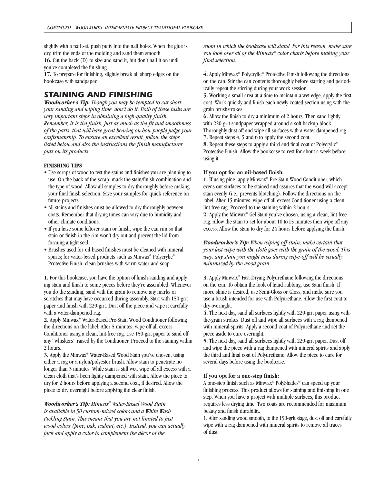slightly with a nail set, push putty into the nail holes. When the glue is dry, trim the ends of the molding and sand them smooth. **16.** Cut the back (D) to size and sand it, but don't nail it on until you've completed the finishing.

**17.** To prepare for finishing, slightly break all sharp edges on the bookcase with sandpaper.

# *STAINING AND FINISHING*

*Woodworker's Tip: Though you may be tempted to cut short your sanding and wiping time, don't do it. Both of these tasks are very important steps in obtaining a high-quality finish. Remember, it is the finish, just as much as the fit and smoothness of the parts, that will have great bearing on how people judge your craftsmanship. To ensure an excellent result, follow the steps listed below and also the instructions the finish manufacturer puts on its products.*

## **FINISHING TIPS**

- Use scraps of wood to test the stains and finishes you are planning to use. On the back of the scrap, mark the stain/finish combination and the type of wood. Allow all samples to dry thoroughly before making your final finish selection. Save your samples for quick reference on future projects.
- All stains and finishes must be allowed to dry thoroughly between coats. Remember that drying times can vary due to humidity and other climate conditions.
- If you have some leftover stain or finish, wipe the can rim so that stain or finish in the rim won't dry out and prevent the lid from forming a tight seal.
- Brushes used for oil-based finishes must be cleaned with mineral spirits; for water-based products such as Minwax ® Polycrylic® Protective Finish, clean brushes with warm water and soap.

**1.** For this bookcase, you have the option of finish-sanding and applying stain and finish to some pieces before they're assembled. Whenever you do the sanding, sand with the grain to remove any marks or scratches that may have occurred during assembly. Start with 150-grit paper and finish with 220-grit. Dust off the piece and wipe it carefully with a water-dampened rag.

**2.** Apply Minwax® Water-Based Pre-Stain Wood Conditioner following the directions on the label. After 5 minutes, wipe off all excess Conditioner using a clean, lint-free rag. Use 150-grit paper to sand off any "whiskers" raised by the Conditioner. Proceed to the staining within 2 hours.

**3.** Apply the Minwax® Water-Based Wood Stain you've chosen, using either a rag or a nylon/polyester brush. Allow stain to penetrate no longer than 3 minutes. While stain is still wet, wipe off all excess with a clean cloth that's been lightly dampened with stain. Allow the piece to dry for 2 hours before applying a second coat, if desired. Allow the piece to dry overnight before applying the clear finish.

*Woodworker's Tip: Minwax® Water-Based Wood Stain is available in 50 custom-mixed colors and a White Wash Pickling Stain. This means that you are not limited to just wood colors (pine, oak, walnut, etc.). Instead, you can actually pick and apply a color to complement the décor of the*

*room in which the bookcase will stand. For this reason, make sure you look over all of the Minwax® color charts before making your final selection.*

**4.** Apply Minwax® Polycrylic® Protective Finish following the directions on the can. Stir the can contents thoroughly before starting and periodically repeat the stirring during your work session.

**5.** Working a small area at a time to maintain a wet edge, apply the first coat. Work quickly and finish each newly coated section using with-thegrain brushstrokes.

**6.** Allow the finish to dry a minimum of 2 hours. Then sand lightly with 220-grit sandpaper wrapped around a soft backup block. Thoroughly dust off and wipe all surfaces with a water-dampened rag. **7.** Repeat steps 4, 5 and 6 to apply the second coat.

**8.** Repeat these steps to apply a third and final coat of Polycrylic ® Protective Finish. Allow the bookcase to rest for about a week before using it.

### **If you opt for an oil-based finish:**

**1.** If using pine, apply Minwax® Pre-Stain Wood Conditioner, which evens out surfaces to be stained and assures that the wood will accept stain evenly (i.e., prevents blotching). Follow the directions on the label. After 15 minutes, wipe off all excess Conditioner using a clean, lint-free rag. Proceed to the staining within 2 hours.

**2.** Apply the Minwax® Gel Stain you've chosen, using a clean, lint-free rag. Allow the stain to set for about 10 to 15 minutes then wipe off any excess. Allow the stain to dry for 24 hours before applying the finish.

*Woodworker's Tip: When wiping off stain, make certain that your last wipe with the cloth goes with the grain of the wood. This way, any stain you might miss during wipe-off will be visually minimized by the wood grain.*

**3.** Apply Minwax® Fast-Drying Polyurethane following the directions on the can. To obtain the look of hand rubbing, use Satin finish. If more shine is desired, use Semi-Gloss or Gloss, and make sure you use a brush intended for use with Polyurethane. Allow the first coat to dry overnight.

**4.** The next day, sand all surfaces lightly with 220-grit paper using withthe-grain strokes. Dust off and wipe all surfaces with a rag dampened with mineral spirits. Apply a second coat of Polyurethane and set the piece aside to cure overnight.

**5.** The next day, sand all surfaces lightly with 220-grit paper. Dust off and wipe the piece with a rag dampened with mineral spirits and apply the third and final coat of Polyurethane. Allow the piece to cure for several days before using the bookcase.

# **If you opt for a one-step finish:**

A one-step finish such as Minwax ® PolyShades ® can speed up your finishing process. This product allows for staining and finishing in one step. When you have a project with multiple surfaces, this product requires less drying time. Two coats are recommended for maximum beauty and finish durability.

1. After sanding wood smooth, to the 150-grit stage, dust off and carefully wipe with a rag dampened with mineral spirits to remove all traces of dust.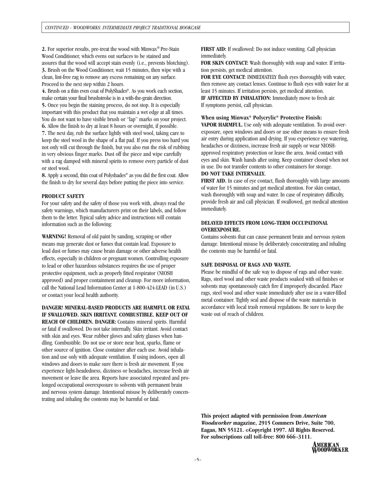**2.** For superior results, pre-treat the wood with Minwax® Pre-Stain Wood Conditioner, which evens out surfaces to be stained and assures that the wood will accept stain evenly (i.e., prevents blotching). **3.** Brush on the Wood Conditioner, wait 15 minutes, then wipe with a clean, lint-free rag to remove any excess remaining on any surface. Proceed to the next step within 2 hours.

**4.** Brush on a thin even coat of PolyShades ®. As you work each section, make certain your final brushstroke is in a with-the-grain direction. **5.** Once you begin the staining process, do not stop. It is especially important with this product that you maintain a wet edge at all times. You do not want to have visible brush or "lap" marks on your project. **6.** Allow the finish to dry at least 8 hours or overnight, if possible.

**7.** The next day, rub the surface lightly with steel wool, taking care to keep the steel wool in the shape of a flat pad. If you press too hard you not only will cut through the finish, but you also run the risk of rubbing in very obvious finger marks. Dust off the piece and wipe carefully with a rag damped with mineral spirits to remove every particle of dust or steel wool.

**8.** Apply a second, thin coat of Polyshades ® as you did the first coat. Allow the finish to dry for several days before putting the piece into service.

## **PRODUCT SAFETY**

For your safety and the safety of those you work with, always read the safety warnings, which manufacturers print on their labels, and follow them to the letter. Typical safety advice and instructions will contain information such as the following:

**WARNING!** Removal of old paint by sanding, scraping or other means may generate dust or fumes that contain lead. Exposure to lead dust or fumes may cause brain damage or other adverse health effects, especially in children or pregnant women. Controlling exposure to lead or other hazardous substances requires the use of proper protective equipment, such as properly fitted respirator (NIOSH approved) and proper containment and cleanup. For more information, call the National Lead Information Center at 1-800-424-LEAD (in U.S.) or contact your local health authority.

**DANGER! MINERAL-BASED PRODUCTS ARE HARMFUL OR FATAL IF SWALLOWED. SKIN IRRITANT. COMBUSTIBLE. KEEP OUT OF**

**REACH OF CHILDREN. DANGER:** Contains mineral spirits. Harmful or fatal if swallowed. Do not take internally. Skin irritant. Avoid contact with skin and eyes. Wear rubber gloves and safety glasses when handling. Combustible. Do not use or store near heat, sparks, flame or other source of ignition. Close container after each use. Avoid inhalation and use only with adequate ventilation. If using indoors, open all windows and doors to make sure there is fresh air movement. If you experience light-headedness, dizziness or headaches, increase fresh air movement or leave the area. Reports have associated repeated and prolonged occupational overexposure to solvents with permanent brain and nervous system damage. Intentional misuse by deliberately concentrating and inhaling the contents may be harmful or fatal.

**FIRST AID:** If swallowed: Do not induce vomiting. Call physician immediately.

**FOR SKIN CONTACT:** Wash thoroughly with soap and water. If irritation persists, get medical attention.

**FOR EYE CONTACT:** IMMEDIATELY flush eyes thoroughly with water, then remove any contact lenses. Continue to flush eyes with water for at least 15 minutes. If irritation persists, get medical attention.

**IF AFFECTED BY INHALATION:** Immediately move to fresh air. If symptoms persist, call physician.

# **When using Minwax® Polycrylic® Protective Finish:**

approved respiratory protection or leave the area. Avoid contact with eyes and skin. Wash hands after using. Keep container closed when not in use. Do not transfer contents to other containers for storage. **VAPOR HARMFUL.** Use only with adequate ventilation. To avoid overexposure, open windows and doors or use other means to ensure fresh air entry during application and drying. If you experience eye watering, headaches or dizziness, increase fresh air supply or wear NIOSH-

# **DO NOT TAKE INTERNALLY.**

**FIRST AID.** In case of eye contact, flush thoroughly with large amounts of water for 15 minutes and get medical attention. For skin contact, wash thoroughly with soap and water. In case of respiratory difficulty, provide fresh air and call physician. If swallowed, get medical attention immediately.

## **DELAYED EFFECTS FROM LONG-TERM OCCUPATIONAL OVEREXPOSURE.**

Contains solvents that can cause permanent brain and nervous system damage. Intentional misuse by deliberately concentrating and inhaling the contents may be harmful or fatal.

# **SAFE DISPOSAL OF RAGS AND WASTE.**

Please be mindful of the safe way to dispose of rags and other waste. Rags, steel wool and other waste products soaked with oil finishes or solvents may spontaneously catch fire if improperly discarded. Place rags, steel wool and other waste immediately after use in a water-filled metal container. Tightly seal and dispose of the waste materials in accordance with local trash removal regulations. Be sure to keep the waste out of reach of children.

**This project adapted with permission from** *American Woodworker* **magazine, 2915 Commers Drive, Suite 700, Eagan, MN 55121. ©Copyright 1997. All Rights Reserved. For subscriptions call toll-free: 800 666-3111.**